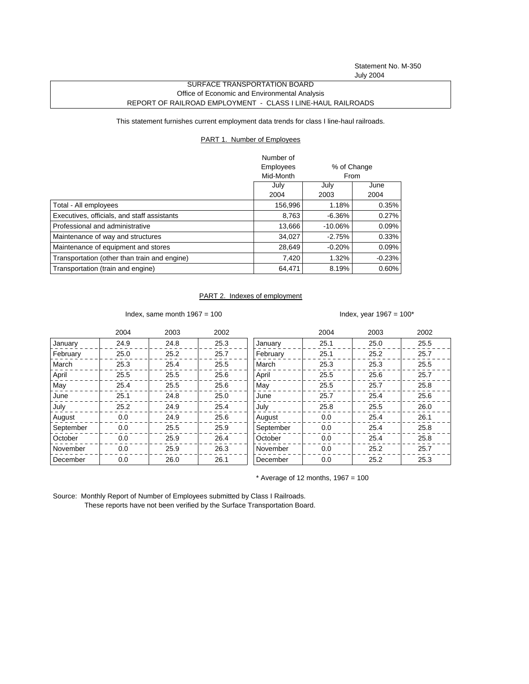Statement No. M-350 July 2004

## SURFACE TRANSPORTATION BOARD Office of Economic and Environmental Analysis REPORT OF RAILROAD EMPLOYMENT - CLASS I LINE-HAUL RAILROADS

This statement furnishes current employment data trends for class I line-haul railroads.

## PART 1. Number of Employees

|                                              | Number of |             |          |
|----------------------------------------------|-----------|-------------|----------|
|                                              | Employees | % of Change |          |
|                                              | Mid-Month | From        |          |
|                                              | July      | July        | June     |
|                                              | 2004      | 2003        | 2004     |
| Total - All employees                        | 156,996   | 1.18%       | 0.35%    |
| Executives, officials, and staff assistants  | 8,763     | $-6.36%$    | 0.27%    |
| Professional and administrative              | 13,666    | $-10.06%$   | $0.09\%$ |
| Maintenance of way and structures            | 34.027    | $-2.75%$    | 0.33%    |
| Maintenance of equipment and stores          | 28,649    | $-0.20%$    | $0.09\%$ |
| Transportation (other than train and engine) | 7,420     | 1.32%       | $-0.23%$ |
| Transportation (train and engine)            | 64.471    | 8.19%       | $0.60\%$ |

## PART 2. Indexes of employment

Index, same month  $1967 = 100$  Index, year  $1967 = 100^*$ 

|           | 2004 | 2003 | 2002 |           | 2004 | 2003 | 2002 |
|-----------|------|------|------|-----------|------|------|------|
| January   | 24.9 | 24.8 | 25.3 | January   | 25.1 | 25.0 | 25.5 |
| February  | 25.0 | 25.2 | 25.7 | February  | 25.1 | 25.2 | 25.7 |
| March     | 25.3 | 25.4 | 25.5 | March     | 25.3 | 25.3 | 25.5 |
| April     | 25.5 | 25.5 | 25.6 | April     | 25.5 | 25.6 | 25.7 |
| May       | 25.4 | 25.5 | 25.6 | May       | 25.5 | 25.7 | 25.8 |
| June      | 25.1 | 24.8 | 25.0 | June      | 25.7 | 25.4 | 25.6 |
| July      | 25.2 | 24.9 | 25.4 | July      | 25.8 | 25.5 | 26.0 |
| August    | 0.0  | 24.9 | 25.6 | August    | 0.0  | 25.4 | 26.1 |
| September | 0.0  | 25.5 | 25.9 | September | 0.0  | 25.4 | 25.8 |
| October   | 0.0  | 25.9 | 26.4 | October   | 0.0  | 25.4 | 25.8 |
| November  | 0.0  | 25.9 | 26.3 | November  | 0.0  | 25.2 | 25.7 |
| December  | 0.0  | 26.0 | 26.1 | December  | 0.0  | 25.2 | 25.3 |

 $*$  Average of 12 months, 1967 = 100

Source: Monthly Report of Number of Employees submitted by Class I Railroads. These reports have not been verified by the Surface Transportation Board.